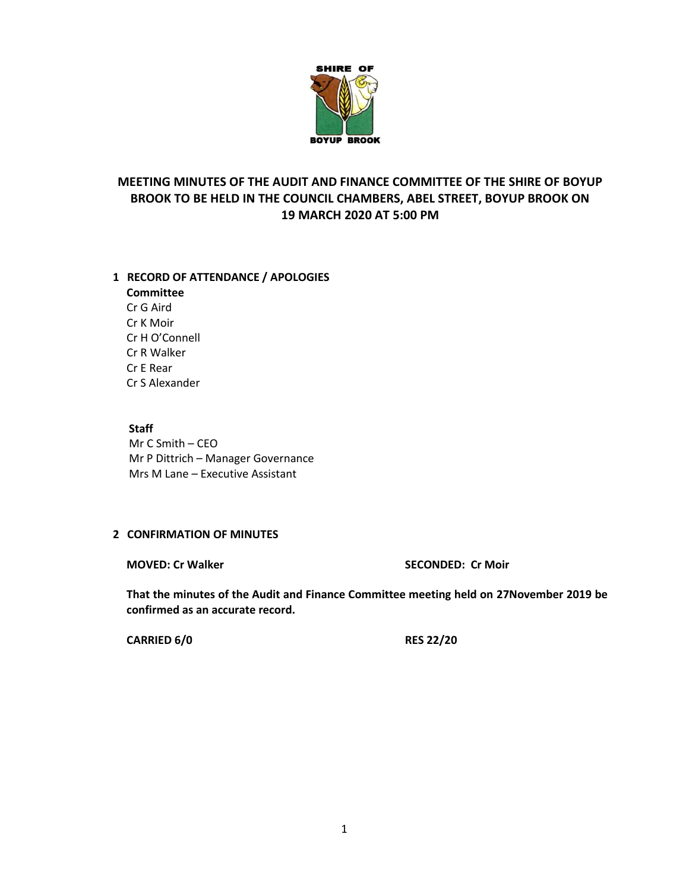

# **MEETING MINUTES OF THE AUDIT AND FINANCE COMMITTEE OF THE SHIRE OF BOYUP BROOK TO BE HELD IN THE COUNCIL CHAMBERS, ABEL STREET, BOYUP BROOK ON 19 MARCH 2020 AT 5:00 PM**

### **1 RECORD OF ATTENDANCE / APOLOGIES**

**Committee** Cr G Aird Cr K Moir Cr H O'Connell Cr R Walker Cr E Rear Cr S Alexander

## **Staff**

Mr C Smith – CEO Mr P Dittrich – Manager Governance Mrs M Lane – Executive Assistant

## **2 CONFIRMATION OF MINUTES**

**MOVED: Cr Walker SECONDED: Cr Moir**

**That the minutes of the Audit and Finance Committee meeting held on 27November 2019 be confirmed as an accurate record.**

**CARRIED 6/0 RES 22/20**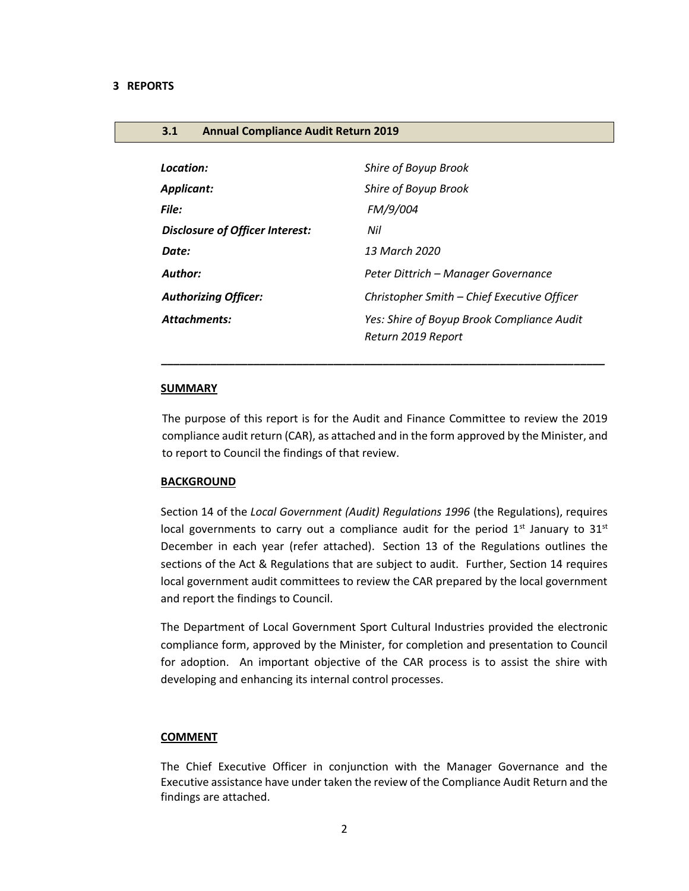#### **3.1 Annual Compliance Audit Return 2019**

| Location:                              | Shire of Boyup Brook                        |
|----------------------------------------|---------------------------------------------|
| Applicant:                             | Shire of Boyup Brook                        |
| File:                                  | FM/9/004                                    |
| <b>Disclosure of Officer Interest:</b> | Nil                                         |
| Date:                                  | 13 March 2020                               |
| <b>Author:</b>                         | Peter Dittrich - Manager Governance         |
| <b>Authorizing Officer:</b>            | Christopher Smith - Chief Executive Officer |
| <b>Attachments:</b>                    | Yes: Shire of Boyup Brook Compliance Audit  |
|                                        | Return 2019 Report                          |

#### **SUMMARY**

The purpose of this report is for the Audit and Finance Committee to review the 2019 compliance audit return (CAR), as attached and in the form approved by the Minister, and to report to Council the findings of that review.

 *\_\_\_\_\_\_\_\_\_\_\_\_\_\_\_\_\_\_\_\_\_\_\_\_\_\_\_\_\_\_\_\_\_\_\_\_\_\_\_\_\_\_\_\_\_\_\_\_\_\_\_\_\_\_\_\_\_\_\_\_\_\_\_\_\_\_\_\_\_\_\_\_*

#### **BACKGROUND**

Section 14 of the *Local Government (Audit) Regulations 1996* (the Regulations), requires local governments to carry out a compliance audit for the period  $1<sup>st</sup>$  January to  $31<sup>st</sup>$ December in each year (refer attached). Section 13 of the Regulations outlines the sections of the Act & Regulations that are subject to audit. Further, Section 14 requires local government audit committees to review the CAR prepared by the local government and report the findings to Council.

The Department of Local Government Sport Cultural Industries provided the electronic compliance form, approved by the Minister, for completion and presentation to Council for adoption. An important objective of the CAR process is to assist the shire with developing and enhancing its internal control processes.

#### **COMMENT**

The Chief Executive Officer in conjunction with the Manager Governance and the Executive assistance have under taken the review of the Compliance Audit Return and the findings are attached.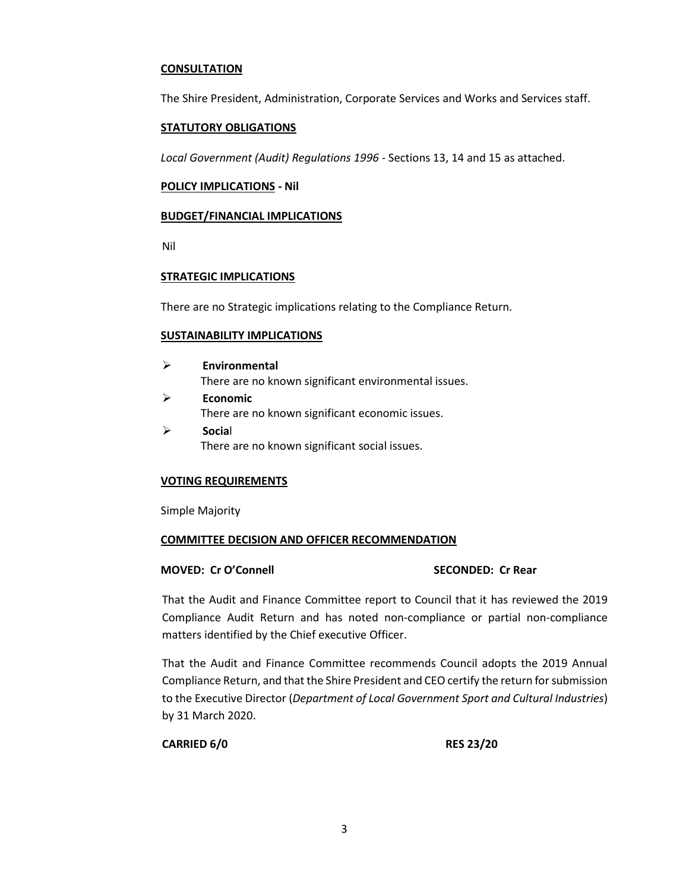#### **CONSULTATION**

The Shire President, Administration, Corporate Services and Works and Services staff.

#### **STATUTORY OBLIGATIONS**

*Local Government (Audit) Regulations 1996* - Sections 13, 14 and 15 as attached.

#### **POLICY IMPLICATIONS - Nil**

#### **BUDGET/FINANCIAL IMPLICATIONS**

Nil

#### **STRATEGIC IMPLICATIONS**

There are no Strategic implications relating to the Compliance Return.

#### **SUSTAINABILITY IMPLICATIONS**

- ➢ **Environmental** There are no known significant environmental issues. ➢ **Economic** There are no known significant economic issues.
- ➢ **Socia**l There are no known significant social issues.

### **VOTING REQUIREMENTS**

Simple Majority

#### **COMMITTEE DECISION AND OFFICER RECOMMENDATION**

#### **MOVED: Cr O'Connell SECONDED: Cr Rear**

That the Audit and Finance Committee report to Council that it has reviewed the 2019 Compliance Audit Return and has noted non-compliance or partial non-compliance matters identified by the Chief executive Officer.

That the Audit and Finance Committee recommends Council adopts the 2019 Annual Compliance Return, and that the Shire President and CEO certify the return for submission to the Executive Director (*Department of Local Government Sport and Cultural Industries*) by 31 March 2020.

**CARRIED 6/0 RES 23/20**